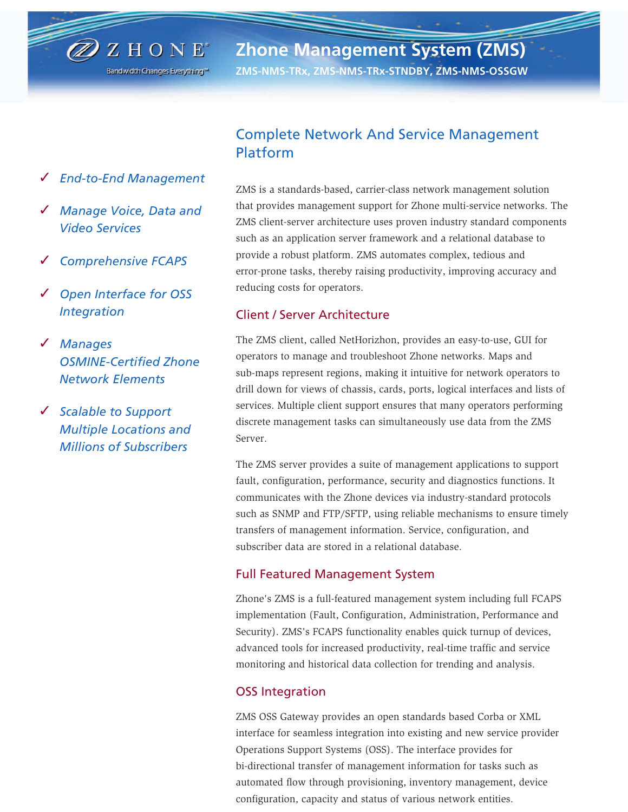**Zhone Management System (ZMS)**

**ZMS-NMS-TRx, ZMS-NMS-TRx-STNDBY, ZMS-NMS-OSSGW**

✓ *End-to-End Management*

 $\mathbb{Z}$  z hone<sup>®</sup>

Bandwidth Changes Everything<sup>to</sup>

- ✓ *Manage Voice, Data and Video Services*
- ✓ *Comprehensive FCAPS*
- ✓ *Open Interface for OSS Integration*
- ✓ *Manages OSMINE-Certified Zhone Network Elements*
- ✓ *Scalable to Support Multiple Locations and Millions of Subscribers*

# Complete Network And Service Management Platform

ZMS is a standards-based, carrier-class network management solution that provides management support for Zhone multi-service networks. The ZMS client-server architecture uses proven industry standard components such as an application server framework and a relational database to provide a robust platform. ZMS automates complex, tedious and error-prone tasks, thereby raising productivity, improving accuracy and reducing costs for operators.

## Client / Server Architecture

The ZMS client, called NetHorizhon, provides an easy-to-use, GUI for operators to manage and troubleshoot Zhone networks. Maps and sub-maps represent regions, making it intuitive for network operators to drill down for views of chassis, cards, ports, logical interfaces and lists of services. Multiple client support ensures that many operators performing discrete management tasks can simultaneously use data from the ZMS Server.

The ZMS server provides a suite of management applications to support fault, configuration, performance, security and diagnostics functions. It communicates with the Zhone devices via industry-standard protocols such as SNMP and FTP/SFTP, using reliable mechanisms to ensure timely transfers of management information. Service, configuration, and subscriber data are stored in a relational database.

### Full Featured Management System

Zhone's ZMS is a full-featured management system including full FCAPS implementation (Fault, Configuration, Administration, Performance and Security). ZMS's FCAPS functionality enables quick turnup of devices, advanced tools for increased productivity, real-time traffic and service monitoring and historical data collection for trending and analysis.

## OSS Integration

ZMS OSS Gateway provides an open standards based Corba or XML interface for seamless integration into existing and new service provider Operations Support Systems (OSS). The interface provides for bi-directional transfer of management information for tasks such as automated flow through provisioning, inventory management, device configuration, capacity and status of various network entities.